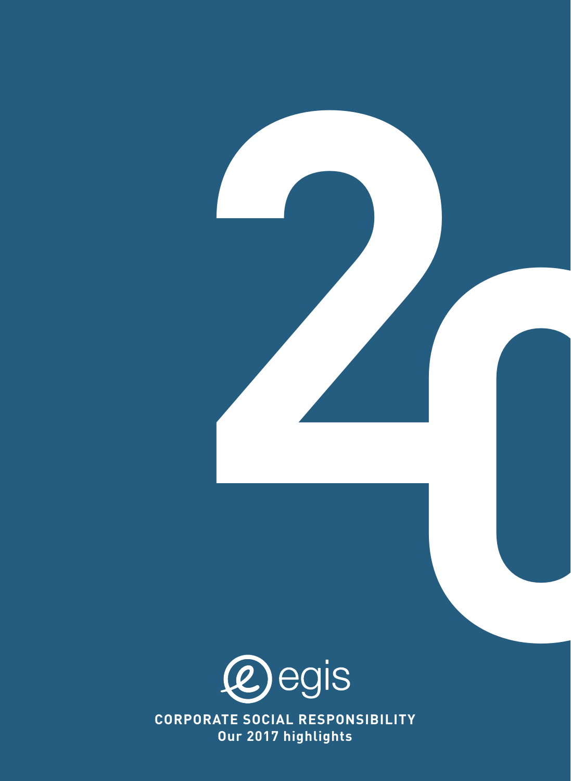

**CORPORATE SOCIAL RESPONSIBILITY Our 2017 highlights**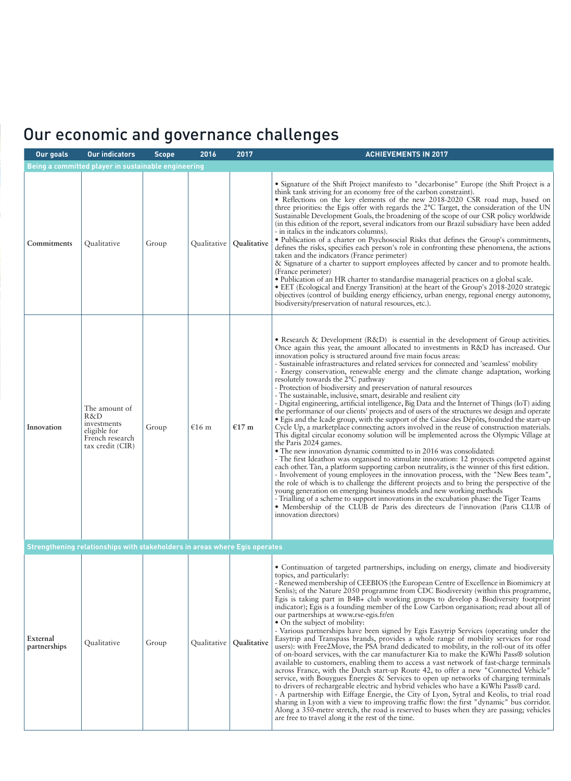# Our economic and governance challenges

| Our goals                | <b>Our indicators</b>                                                                      | <b>Scope</b> | 2016        | 2017                      | <b>ACHIEVEMENTS IN 2017</b>                                                                                                                                                                                                                                                                                                                                                                                                                                                                                                                                                                                                                                                                                                                                                                                                                                                                                                                                                                                                                                                                                                                                                                                                                                                                                                                                                                                                                                                                                                                                                                                                                                                                                                                                                                                                                                                          |
|--------------------------|--------------------------------------------------------------------------------------------|--------------|-------------|---------------------------|--------------------------------------------------------------------------------------------------------------------------------------------------------------------------------------------------------------------------------------------------------------------------------------------------------------------------------------------------------------------------------------------------------------------------------------------------------------------------------------------------------------------------------------------------------------------------------------------------------------------------------------------------------------------------------------------------------------------------------------------------------------------------------------------------------------------------------------------------------------------------------------------------------------------------------------------------------------------------------------------------------------------------------------------------------------------------------------------------------------------------------------------------------------------------------------------------------------------------------------------------------------------------------------------------------------------------------------------------------------------------------------------------------------------------------------------------------------------------------------------------------------------------------------------------------------------------------------------------------------------------------------------------------------------------------------------------------------------------------------------------------------------------------------------------------------------------------------------------------------------------------------|
|                          | Being a committed player in sustainable engineering                                        |              |             |                           |                                                                                                                                                                                                                                                                                                                                                                                                                                                                                                                                                                                                                                                                                                                                                                                                                                                                                                                                                                                                                                                                                                                                                                                                                                                                                                                                                                                                                                                                                                                                                                                                                                                                                                                                                                                                                                                                                      |
| Commitments              | Qualitative                                                                                | Group        | Qualitative | <b>Qualitative</b>        | • Signature of the Shift Project manifesto to "decarbonise" Europe (the Shift Project is a<br>think tank striving for an economy free of the carbon constraint).<br>• Reflections on the key elements of the new 2018-2020 CSR road map, based on<br>three priorities: the Egis offer with regards the 2°C Target, the consideration of the UN<br>Sustainable Development Goals, the broadening of the scope of our CSR policy worldwide<br>(in this edition of the report, several indicators from our Brazil subsidiary have been added<br>- in italics in the indicators columns).<br>· Publication of a charter on Psychosocial Risks that defines the Group's commitments,<br>defines the risks, specifies each person's role in confronting these phenomena, the actions<br>taken and the indicators (France perimeter)<br>& Signature of a charter to support employees affected by cancer and to promote health.<br>(France perimeter)<br>• Publication of an HR charter to standardise managerial practices on a global scale.<br>• EET (Ecological and Energy Transition) at the heart of the Group's 2018-2020 strategic<br>objectives (control of building energy efficiency, urban energy, regional energy autonomy,<br>biodiversity/preservation of natural resources, etc.).                                                                                                                                                                                                                                                                                                                                                                                                                                                                                                                                                                                          |
| Innovation               | The amount of<br>R&D<br>investments<br>eligible for<br>French research<br>tax credit (CIR) | Group        | €16 $m$     | €17 $m$                   | • Research & Development $(R&D)$ is essential in the development of Group activities.<br>Once again this year, the amount allocated to investments in R&D has increased. Our<br>innovation policy is structured around five main focus areas:<br>- Sustainable infrastructures and related services for connected and 'seamless' mobility<br>- Energy conservation, renewable energy and the climate change adaptation, working<br>resolutely towards the 2°C pathway<br>- Protection of biodiversity and preservation of natural resources<br>- The sustainable, inclusive, smart, desirable and resilient city<br>- Digital engineering, artificial intelligence, Big Data and the Internet of Things (IoT) aiding<br>the performance of our clients' projects and of users of the structures we design and operate<br>· Egis and the Icade group, with the support of the Caisse des Dépôts, founded the start-up<br>Cycle Up, a marketplace connecting actors involved in the reuse of construction materials.<br>This digital circular economy solution will be implemented across the Olympic Village at<br>the Paris 2024 games.<br>• The new innovation dynamic committed to in 2016 was consolidated:<br>- The first Ideathon was organised to stimulate innovation: 12 projects competed against<br>each other. Tàn, a platform supporting carbon neutrality, is the winner of this first edition.<br>- Involvement of young employees in the innovation process, with the "New Bees team",<br>the role of which is to challenge the different projects and to bring the perspective of the<br>young generation on emerging business models and new working methods<br>- Trialling of a scheme to support innovations in the excubation phase: the Tiger Teams<br>• Membership of the CLUB de Paris des directeurs de l'innovation (Paris CLUB of<br>innovation directors) |
|                          | Strengthening relationships with stakeholders in areas where Egis operates                 |              |             |                           |                                                                                                                                                                                                                                                                                                                                                                                                                                                                                                                                                                                                                                                                                                                                                                                                                                                                                                                                                                                                                                                                                                                                                                                                                                                                                                                                                                                                                                                                                                                                                                                                                                                                                                                                                                                                                                                                                      |
| External<br>partnerships | Qualitative                                                                                | Group        |             | Qualitative   Qualitative | • Continuation of targeted partnerships, including on energy, climate and biodiversity<br>topics, and particularly:<br>- Renewed membership of CEEBIOS (the European Centre of Excellence in Biomimicry at<br>Senlis); of the Nature 2050 programme from CDC Biodiversity (within this programme,<br>Egis is taking part in B4B+ club working groups to develop a Biodiversity footprint<br>indicator); Egis is a founding member of the Low Carbon organisation; read about all of<br>our partnerships at www.rse-egis.fr/en<br>• On the subject of mobility:<br>- Various partnerships have been signed by Egis Easytrip Services (operating under the<br>Easytrip and Transpass brands, provides a whole range of mobility services for road<br>users): with Free2Move, the PSA brand dedicated to mobility, in the roll-out of its offer<br>of on-board services, with the car manufacturer Kia to make the KiWhi Pass® solution<br>available to customers, enabling them to access a vast network of fast-charge terminals<br>across France, with the Dutch start-up Route 42, to offer a new "Connected Vehicle"<br>service, with Bouygues Énergies & Services to open up networks of charging terminals<br>to drivers of rechargeable electric and hybrid vehicles who have a KiWhi Pass® card.<br>- A partnership with Eiffage Energie, the City of Lyon, Sytral and Keolis, to trial road<br>sharing in Lyon with a view to improving traffic flow: the first "dynamic" bus corridor.<br>Along a 350-metre stretch, the road is reserved to buses when they are passing; vehicles<br>are free to travel along it the rest of the time.                                                                                                                                                                                                                                      |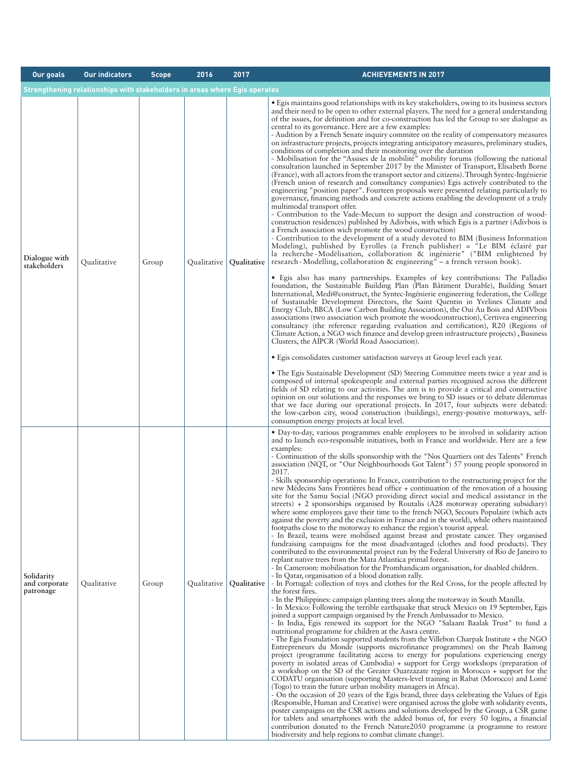| <b>Our goals</b>                         | <b>Our indicators</b>                                                      | <b>Scope</b> | 2016        | 2017        | <b>ACHIEVEMENTS IN 2017</b>                                                                                                                                                                                                                                                                                                                                                                                                                                                                                                                                                                                                                                                                                                                                                                                                                                                                                                                                                                                                                                                                                                                                                                                                                                                                                                                                                                                                                                                                                                                                                                                                                                                                                                                                                                                                                                                                                                                                                                                                                                                                                                                                                                                                                                                                                                                                                                                                                                                                                                                                                                                                                                                                                                                                                                                                                                                                                                                                                                                                                                                                                                                                                                                                                                 |
|------------------------------------------|----------------------------------------------------------------------------|--------------|-------------|-------------|-------------------------------------------------------------------------------------------------------------------------------------------------------------------------------------------------------------------------------------------------------------------------------------------------------------------------------------------------------------------------------------------------------------------------------------------------------------------------------------------------------------------------------------------------------------------------------------------------------------------------------------------------------------------------------------------------------------------------------------------------------------------------------------------------------------------------------------------------------------------------------------------------------------------------------------------------------------------------------------------------------------------------------------------------------------------------------------------------------------------------------------------------------------------------------------------------------------------------------------------------------------------------------------------------------------------------------------------------------------------------------------------------------------------------------------------------------------------------------------------------------------------------------------------------------------------------------------------------------------------------------------------------------------------------------------------------------------------------------------------------------------------------------------------------------------------------------------------------------------------------------------------------------------------------------------------------------------------------------------------------------------------------------------------------------------------------------------------------------------------------------------------------------------------------------------------------------------------------------------------------------------------------------------------------------------------------------------------------------------------------------------------------------------------------------------------------------------------------------------------------------------------------------------------------------------------------------------------------------------------------------------------------------------------------------------------------------------------------------------------------------------------------------------------------------------------------------------------------------------------------------------------------------------------------------------------------------------------------------------------------------------------------------------------------------------------------------------------------------------------------------------------------------------------------------------------------------------------------------------------------------------|
|                                          | Strengthening relationships with stakeholders in areas where Egis operates |              |             |             |                                                                                                                                                                                                                                                                                                                                                                                                                                                                                                                                                                                                                                                                                                                                                                                                                                                                                                                                                                                                                                                                                                                                                                                                                                                                                                                                                                                                                                                                                                                                                                                                                                                                                                                                                                                                                                                                                                                                                                                                                                                                                                                                                                                                                                                                                                                                                                                                                                                                                                                                                                                                                                                                                                                                                                                                                                                                                                                                                                                                                                                                                                                                                                                                                                                             |
| Dialogue with<br>stakeholders            | Qualitative                                                                | Group        | Qualitative | Qualitative | • Egis maintains good relationships with its key stakeholders, owing to its business sectors<br>and their need to be open to other external players. The need for a general understanding<br>of the issues, for definition and for co-construction has led the Group to see dialogue as<br>central to its governance. Here are a few examples:<br>- Audition by a French Senate inquiry commitee on the reality of compensatory measures<br>on infrastructure projects, projects integrating anticipatory measures, preliminary studies,<br>conditions of completion and their monitoring over the duration<br>- Mobilisation for the "Assises de la mobilité" mobility forums (following the national<br>consultation launched in September 2017 by the Minister of Transport, Elisabeth Borne<br>(France), with all actors from the transport sector and citizens). Through Syntec-Ingénierie<br>(French union of research and consultancy companies) Egis actively contributed to the<br>engineering "position paper". Fourteen proposals were presented relating particularly to<br>governance, financing methods and concrete actions enabling the development of a truly<br>multimodal transport offer.<br>- Contribution to the Vade-Mecum to support the design and construction of wood-<br>construction residences) published by Adivbois, with which Egis is a partner (Adivbois is<br>a French association wich promote the wood construction)<br>- Contribution to the development of a study devoted to BIM (Business Information<br>Modeling), published by Eyrolles (a French publisher) = "Le BIM éclairé par<br>la recherche-Modélisation, collaboration & ingénierie" ("BIM enlightened by<br>research - Modelling, collaboration & engineering" - a french version book).<br>• Egis also has many partnerships. Examples of key contributions: The Palladio<br>foundation, the Sustainable Building Plan (Plan Bâtiment Durable), Building Smart<br>International, Medi@construct, the Syntec-Ingénierie engineering federation, the College<br>of Sustainable Development Directors, the Saint Quentin in Yvelines Climate and<br>Energy Club, BBCA (Low Carbon Building Association), the Oui Au Bois and ADIVbois<br>associations (two association wich promote the woodconstruction), Certivea engineering<br>consultancy (the reference regarding evaluation and certification), R20 (Regions of<br>Climate Action, a NGO wich finance and develop green infrastructure projects), Business<br>Clusters, the AIPCR (World Road Association).<br>• Egis consolidates customer satisfaction surveys at Group level each year.<br>• The Egis Sustainable Development (SD) Steering Committee meets twice a year and is<br>composed of internal spokespeople and external parties recognised across the different<br>fields of SD relating to our activities. The aim is to provide a critical and constructive<br>opinion on our solutions and the responses we bring to SD issues or to debate dilemmas<br>that we face during our operational projects. In 2017, four subjects were debated:<br>the low-carbon city, wood construction (buildings), energy-positive motorways, self-<br>consumption energy projects at local level. |
| Solidarity<br>and corporate<br>patronage | Qualitative                                                                | Group        | Qualitative | Qualitative | • Day-to-day, various programmes enable employees to be involved in solidarity action<br>and to launch eco-responsible initiatives, both in France and worldwide. Here are a few<br>examples:<br>- Continuation of the skills sponsorship with the "Nos Quartiers ont des Talents" French<br>association (NQT, or "Our Neighbourhoods Got Talent") 57 young people sponsored in<br>2017.<br>- Skills sponsorship operations: In France, contribution to the restructuring project for the<br>new Médecins Sans Frontières head office + continuation of the renovation of a housing<br>site for the Samu Social (NGO providing direct social and medical assistance in the<br>streets) + 2 sponsorships organised by Routalis $(A28 \text{ motorway operating subsidiary})$<br>where some employees gave their time to the french NGO, Secours Populaire (which acts<br>against the poverty and the exclusion in France and in the world), while others maintained<br>footpaths close to the motorway to enhance the region's tourist appeal.<br>- In Brazil, teams were mobilised against breast and prostate cancer. They organised<br>fundraising campaigns for the most disadvantaged (clothes and food products). They<br>contributed to the environmental project run by the Federal University of Rio de Janeiro to<br>replant native trees from the Mata Atlantica primal forest.<br>- In Cameroon: mobilisation for the Promhandicam organisation, for disabled children.<br>- In Qatar, organisation of a blood donation rally.<br>- In Portugal: collection of toys and clothes for the Red Cross, for the people affected by<br>the forest fires.<br>- In the Philippines: campaign planting trees along the motorway in South Manilla.<br>- In Mexico: Following the terrible earthquake that struck Mexico on 19 September, Egis<br>joined a support campaign organised by the French Ambassador to Mexico.<br>- In India, Egis renewed its support for the NGO "Salaam Baalak Trust" to fund a<br>nutritional programme for children at the Aasra centre.<br>- The Egis Foundation supported students from the Villebon Charpak Institute + the NGO<br>Entrepreneurs du Monde (supports microfinance programmes) on the Pteah Baitong<br>project (programme facilitating access to energy for populations experiencing energy<br>poverty in isolated areas of Cambodia) + support for Cergy workshops (preparation of<br>a workshop on the SD of the Greater Ouarzazate region in Morocco + support for the<br>CODATU organisation (supporting Masters-level training in Rabat (Morocco) and Lomé<br>(Togo) to train the future urban mobility managers in Africa).<br>- On the occasion of 20 years of the Egis brand, three days celebrating the Values of Egis<br>(Responsible, Human and Creative) were organised across the globe with solidarity events,<br>poster campaigns on the CSR actions and solutions developed by the Group, a CSR game<br>for tablets and smartphones with the added bonus of, for every 50 logins, a financial<br>contribution donated to the French Nature2050 programme (a programme to restore<br>biodiversity and help regions to combat climate change).                                               |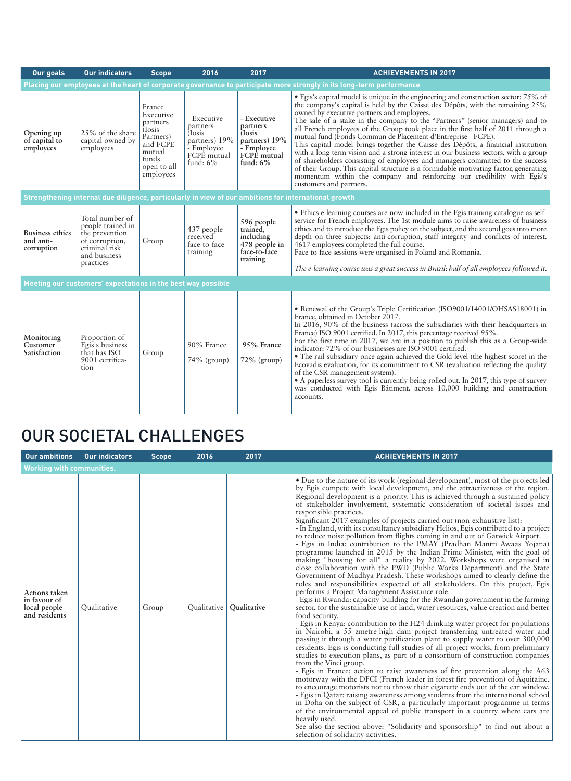| Our goals                                         | <b>Our indicators</b>                                                                                                  | <b>Scope</b>                                                                                                              | 2016                                                                                                  | 2017                                                                                            | <b>ACHIEVEMENTS IN 2017</b>                                                                                                                                                                                                                                                                                                                                                                                                                                                                                                                                                                                                                                                                                                                                                                                                                                                                                         |
|---------------------------------------------------|------------------------------------------------------------------------------------------------------------------------|---------------------------------------------------------------------------------------------------------------------------|-------------------------------------------------------------------------------------------------------|-------------------------------------------------------------------------------------------------|---------------------------------------------------------------------------------------------------------------------------------------------------------------------------------------------------------------------------------------------------------------------------------------------------------------------------------------------------------------------------------------------------------------------------------------------------------------------------------------------------------------------------------------------------------------------------------------------------------------------------------------------------------------------------------------------------------------------------------------------------------------------------------------------------------------------------------------------------------------------------------------------------------------------|
|                                                   |                                                                                                                        |                                                                                                                           |                                                                                                       |                                                                                                 | Placing our employees at the heart of corporate governance to participate more strongly in its long-term performance                                                                                                                                                                                                                                                                                                                                                                                                                                                                                                                                                                                                                                                                                                                                                                                                |
| Opening up<br>of capital to<br>employees          | 25% of the share<br>capital owned by<br>employees                                                                      | France<br>Executive<br>partners<br><i>I</i> losis<br>Partners)<br>and FCPE<br>mutual<br>funds<br>open to all<br>employees | - Executive<br>partners<br><i>I</i> osis<br>partners) 19%<br>- Employee<br>FCPÉ mutual<br>fund: $6\%$ | - Executive<br>partners<br>(Iosis)<br>partners) 19%<br>- Employee<br>FCPE mutual<br>fund: $6\%$ | • Egis's capital model is unique in the engineering and construction sector: 75% of<br>the company's capital is held by the Caisse des Dépôts, with the remaining 25%<br>owned by executive partners and employees.<br>The sale of a stake in the company to the "Partners" (senior managers) and to<br>all French employees of the Group took place in the first half of 2011 through a<br>mutual fund (Fonds Commun de Placement d'Entreprise - FCPE).<br>This capital model brings together the Caisse des Dépôts, a financial institution<br>with a long-term vision and a strong interest in our business sectors, with a group<br>of shareholders consisting of employees and managers committed to the success<br>of their Group. This capital structure is a formidable motivating factor, generating<br>momentum within the company and reinforcing our credibility with Egis's<br>customers and partners. |
|                                                   |                                                                                                                        |                                                                                                                           |                                                                                                       |                                                                                                 | Strengthening internal due diligence, particularly in view of our ambitions for international growth                                                                                                                                                                                                                                                                                                                                                                                                                                                                                                                                                                                                                                                                                                                                                                                                                |
| <b>Business ethics</b><br>and anti-<br>corruption | Total number of<br>people trained in<br>the prevention<br>of corruption,<br>criminal risk<br>and business<br>practices | Group                                                                                                                     | 437 people<br>received<br>face-to-face<br>training                                                    | 596 people<br>trained,<br>including<br>478 people in<br>face-to-face<br>training                | • Ethics e-learning courses are now included in the Egis training catalogue as self-<br>service for French employees. The 1st module aims to raise awareness of business<br>ethics and to introduce the Egis policy on the subject, and the second goes into more<br>depth on three subjects: anti-corruption, staff integrity and conflicts of interest.<br>4617 employees completed the full course.<br>Face-to-face sessions were organised in Poland and Romania.<br>The e-learning course was a great success in Brazil: half of all employees followed it.                                                                                                                                                                                                                                                                                                                                                    |
|                                                   | Meeting our customers' expectations in the best way possible                                                           |                                                                                                                           |                                                                                                       |                                                                                                 |                                                                                                                                                                                                                                                                                                                                                                                                                                                                                                                                                                                                                                                                                                                                                                                                                                                                                                                     |
| Monitoring<br>Customer<br>Satisfaction            | Proportion of<br>Egis's business<br>that has ISO<br>9001 certifica-<br>tion                                            | Group                                                                                                                     | 90% France<br>$74\%$ (group)                                                                          | 95% France<br>72% (group)                                                                       | • Renewal of the Group's Triple Certification (ISO9001/14001/OHSAS18001) in<br>France, obtained in October 2017.<br>In 2016, 90% of the business (across the subsidiaries with their headquarters in<br>France) ISO 9001 certified. In 2017, this percentage received 95%.<br>For the first time in 2017, we are in a position to publish this as a Group-wide<br>indicator: 72% of our businesses are ISO 9001 certified.<br>• The rail subsidiary once again achieved the Gold level (the highest score) in the<br>Ecovadis evaluation, for its commitment to CSR (evaluation reflecting the quality<br>of the CSR management system).<br>• A paperless survey tool is currently being rolled out. In 2017, this type of survey<br>was conducted with Egis Bâtiment, across 10,000 building and construction<br>accounts.                                                                                         |

## OUR SOCIETAL CHALLENGES

| <b>Our ambitions</b>                                           | <b>Our indicators</b> | <b>Scope</b> | 2016 | 2017                      | <b>ACHIEVEMENTS IN 2017</b>                                                                                                                                                                                                                                                                                                                                                                                                                                                                                                                                                                                                                                                                                                                                                                                                                                                                                                                                                                                                                                                                                                                                                                                                                                                                                                                                                                                                                                                                                                                                                                                                                                                                                                                                                                                                                                                                                                                                                                                                                                                                                                                                                                                                                                                                                                                                                                                                             |
|----------------------------------------------------------------|-----------------------|--------------|------|---------------------------|-----------------------------------------------------------------------------------------------------------------------------------------------------------------------------------------------------------------------------------------------------------------------------------------------------------------------------------------------------------------------------------------------------------------------------------------------------------------------------------------------------------------------------------------------------------------------------------------------------------------------------------------------------------------------------------------------------------------------------------------------------------------------------------------------------------------------------------------------------------------------------------------------------------------------------------------------------------------------------------------------------------------------------------------------------------------------------------------------------------------------------------------------------------------------------------------------------------------------------------------------------------------------------------------------------------------------------------------------------------------------------------------------------------------------------------------------------------------------------------------------------------------------------------------------------------------------------------------------------------------------------------------------------------------------------------------------------------------------------------------------------------------------------------------------------------------------------------------------------------------------------------------------------------------------------------------------------------------------------------------------------------------------------------------------------------------------------------------------------------------------------------------------------------------------------------------------------------------------------------------------------------------------------------------------------------------------------------------------------------------------------------------------------------------------------------------|
| <b>Working with communities.</b>                               |                       |              |      |                           |                                                                                                                                                                                                                                                                                                                                                                                                                                                                                                                                                                                                                                                                                                                                                                                                                                                                                                                                                                                                                                                                                                                                                                                                                                                                                                                                                                                                                                                                                                                                                                                                                                                                                                                                                                                                                                                                                                                                                                                                                                                                                                                                                                                                                                                                                                                                                                                                                                         |
| Actions taken<br>in favour of<br>local people<br>and residents | Qualitative           | Group        |      | Qualitative   Qualitative | • Due to the nature of its work (regional development), most of the projects led<br>by Egis compete with local development, and the attractiveness of the region.<br>Regional development is a priority. This is achieved through a sustained policy<br>of stakeholder involvement, systematic consideration of societal issues and<br>responsible practices.<br>Significant 2017 examples of projects carried out (non-exhaustive list):<br>- In England, with its consultancy subsidiary Helios, Egis contributed to a project<br>to reduce noise pollution from flights coming in and out of Gatwick Airport.<br>- Egis in India: contribution to the PMAY (Pradhan Mantri Awaas Yojana)<br>programme launched in 2015 by the Indian Prime Minister, with the goal of<br>making "housing for all" a reality by 2022. Workshops were organised in<br>close collaboration with the PWD (Public Works Department) and the State<br>Government of Madhya Pradesh. These workshops aimed to clearly define the<br>roles and responsibilities expected of all stakeholders. On this project, Egis<br>performs a Project Management Assistance role.<br>- Egis in Rwanda: capacity-building for the Rwandan government in the farming<br>sector, for the sustainable use of land, water resources, value creation and better<br>food security.<br>- Egis in Kenya: contribution to the H24 drinking water project for populations<br>in Nairobi, a 55 zmetre-high dam project transferring untreated water and<br>passing it through a water purification plant to supply water to over 300,000<br>residents. Egis is conducting full studies of all project works, from preliminary<br>studies to execution plans, as part of a consortium of construction companies<br>from the Vinci group.<br>- Egis in France: action to raise awareness of fire prevention along the A63<br>motorway with the DFCI (French leader in forest fire prevention) of Aquitaine,<br>to encourage motorists not to throw their cigarette ends out of the car window.<br>- Egis in Qatar: raising awareness among students from the international school<br>in Doha on the subject of CSR, a particularly important programme in terms<br>of the environmental appeal of public transport in a country where cars are<br>heavily used.<br>See also the section above: "Solidarity and sponsorship" to find out about a<br>selection of solidarity activities. |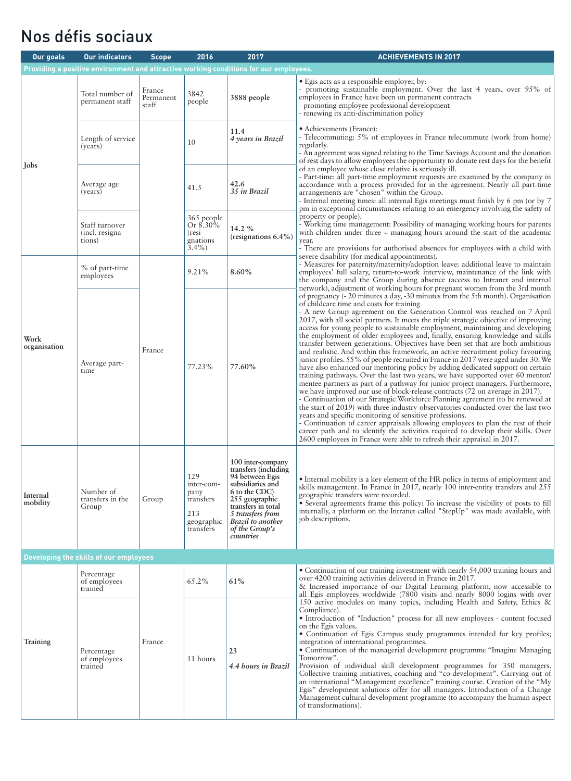### Nos défis sociaux

| Our goals            | <b>Our indicators</b>                       | <b>Scope</b>                 | 2016                                                                     | 2017                                                                                                                                                                                                              | <b>ACHIEVEMENTS IN 2017</b>                                                                                                                                                                                                                                                                                                                                                                                                                                                                                                                                                                                                                                                                                                                                                                                                                                                                                                                                                                                                                                                                                                                                                                                                                                                                                                                                                                                                                                                                                                                                                                                                          |
|----------------------|---------------------------------------------|------------------------------|--------------------------------------------------------------------------|-------------------------------------------------------------------------------------------------------------------------------------------------------------------------------------------------------------------|--------------------------------------------------------------------------------------------------------------------------------------------------------------------------------------------------------------------------------------------------------------------------------------------------------------------------------------------------------------------------------------------------------------------------------------------------------------------------------------------------------------------------------------------------------------------------------------------------------------------------------------------------------------------------------------------------------------------------------------------------------------------------------------------------------------------------------------------------------------------------------------------------------------------------------------------------------------------------------------------------------------------------------------------------------------------------------------------------------------------------------------------------------------------------------------------------------------------------------------------------------------------------------------------------------------------------------------------------------------------------------------------------------------------------------------------------------------------------------------------------------------------------------------------------------------------------------------------------------------------------------------|
|                      |                                             |                              |                                                                          | Providing a positive environment and attractive working conditions for our employees.                                                                                                                             |                                                                                                                                                                                                                                                                                                                                                                                                                                                                                                                                                                                                                                                                                                                                                                                                                                                                                                                                                                                                                                                                                                                                                                                                                                                                                                                                                                                                                                                                                                                                                                                                                                      |
|                      | Total number of<br>permanent staff          | France<br>Permanent<br>staff | 3842<br>people                                                           | 3888 people                                                                                                                                                                                                       | • Egis acts as a responsible employer, by:<br>- promoting sustainable employment. Over the last 4 years, over 95% of<br>employees in France have been on permanent contracts<br>- promoting employee professional development<br>- renewing its anti-discrimination policy                                                                                                                                                                                                                                                                                                                                                                                                                                                                                                                                                                                                                                                                                                                                                                                                                                                                                                                                                                                                                                                                                                                                                                                                                                                                                                                                                           |
|                      | Length of service<br>(years)                |                              | 10                                                                       | 11.4<br>4 years in Brazil                                                                                                                                                                                         | • Achievements (France):<br>- Telecommuting: 5% of employees in France telecommute (work from home)<br>regularly.<br>- An agreement was signed relating to the Time Savings Account and the donation<br>of rest days to allow employees the opportunity to donate rest days for the benefit                                                                                                                                                                                                                                                                                                                                                                                                                                                                                                                                                                                                                                                                                                                                                                                                                                                                                                                                                                                                                                                                                                                                                                                                                                                                                                                                          |
| Jobs                 | Average age<br>(years)                      |                              | 41.5                                                                     | 42.6<br>35 in Brazil                                                                                                                                                                                              | of an employee whose close relative is seriously ill.<br>- Part-time: all part-time employment requests are examined by the company in<br>accordance with a process provided for in the agreement. Nearly all part-time<br>arrangements are "chosen" within the Group.<br>- Internal meeting times: all internal Egis meetings must finish by 6 pm (or by 7<br>pm in exceptional circumstances relating to an emergency involving the safety of                                                                                                                                                                                                                                                                                                                                                                                                                                                                                                                                                                                                                                                                                                                                                                                                                                                                                                                                                                                                                                                                                                                                                                                      |
|                      | Staff turnover<br>(incl. resigna-<br>tions) |                              | 365 people<br>Or 8.30%<br>$(resi-$<br>gnations<br>$3.4\%$ )              | 14.2 %<br>(resignations $6.4\%$ )                                                                                                                                                                                 | property or people).<br>- Working time management: Possibility of managing working hours for parents<br>with children under three + managing hours around the start of the academic<br>year.<br>- There are provisions for authorised absences for employees with a child with                                                                                                                                                                                                                                                                                                                                                                                                                                                                                                                                                                                                                                                                                                                                                                                                                                                                                                                                                                                                                                                                                                                                                                                                                                                                                                                                                       |
|                      | % of part-time<br>employees                 |                              | 9.21%                                                                    | 8.60%                                                                                                                                                                                                             | severe disability (for medical appointments).<br>- Measures for paternity/maternity/adoption leave: additional leave to maintain<br>employees' full salary, return-to-work interview, maintenance of the link with<br>the company and the Group during absence (access to Intranet and internal                                                                                                                                                                                                                                                                                                                                                                                                                                                                                                                                                                                                                                                                                                                                                                                                                                                                                                                                                                                                                                                                                                                                                                                                                                                                                                                                      |
| Work<br>organisation | Average part-<br>time                       | France                       | 77.23%                                                                   | 77.60%                                                                                                                                                                                                            | network), adjustment of working hours for pregnant women from the 3rd month<br>of pregnancy (- 20 minutes a day, -30 minutes from the 5th month). Organisation<br>of childcare time and costs for training<br>- A new Group agreement on the Generation Control was reached on 7 April<br>2017, with all social partners. It meets the triple strategic objective of improving<br>access for young people to sustainable employment, maintaining and developing<br>the employment of older employees and, finally, ensuring knowledge and skills<br>transfer between generations. Objectives have been set that are both ambitious<br>and realistic. And within this framework, an active recruitment policy favouring<br>junior profiles. 55% of people recruited in France in 2017 were aged under 30. We<br>have also enhanced our mentoring policy by adding dedicated support on certain<br>training pathways. Over the last two years, we have supported over 60 mentor/<br>mentee partners as part of a pathway for junior project managers. Furthermore,<br>we have improved our use of block-release contracts (72 on average in 2017).<br>- Continuation of our Strategic Workforce Planning agreement (to be renewed at<br>the start of 2019) with three industry observatories conducted over the last two<br>years and specific monitoring of sensitive professions.<br>- Continuation of career appraisals allowing employees to plan the rest of their<br>career path and to identify the activities required to develop their skills. Over<br>2600 employees in France were able to refresh their appraisal in 2017. |
| Internal<br>mobility | Number of<br>transfers in the<br>Group      | Group                        | 129<br>inter-com-<br>pany<br>transfers<br>213<br>geographic<br>transfers | 100 inter-company<br>transfers (including<br>94 between Egis<br>subsidiaries and<br>6 to the CDC)<br>255 geographic<br>transfers in total<br>5 transfers from<br>Brazil to another<br>of the Group's<br>countries | • Internal mobility is a key element of the HR policy in terms of employment and<br>skills management. In France in 2017, nearly 100 inter-entity transfers and 255<br>geographic transfers were recorded.<br>• Several agreements frame this policy: To increase the visibility of posts to fill<br>internally, a platform on the Intranet called "StepUp" was made available, with<br>job descriptions.                                                                                                                                                                                                                                                                                                                                                                                                                                                                                                                                                                                                                                                                                                                                                                                                                                                                                                                                                                                                                                                                                                                                                                                                                            |
|                      | Developing the skills of our employees      |                              |                                                                          |                                                                                                                                                                                                                   |                                                                                                                                                                                                                                                                                                                                                                                                                                                                                                                                                                                                                                                                                                                                                                                                                                                                                                                                                                                                                                                                                                                                                                                                                                                                                                                                                                                                                                                                                                                                                                                                                                      |
|                      | Percentage<br>of employees<br>trained       |                              | 65.2%                                                                    | 61%                                                                                                                                                                                                               | • Continuation of our training investment with nearly 54,000 training hours and<br>over 4200 training activities delivered in France in 2017.<br>& Increased importance of our Digital Learning platform, now accessible to<br>all Egis employees worldwide (7800 visits and nearly 8000 logins with over                                                                                                                                                                                                                                                                                                                                                                                                                                                                                                                                                                                                                                                                                                                                                                                                                                                                                                                                                                                                                                                                                                                                                                                                                                                                                                                            |
| Training             | Percentage<br>of employees<br>trained       | France<br>11 hours           |                                                                          | 23<br>4.4 hours in Brazil                                                                                                                                                                                         | 150 active modules on many topics, including Health and Safety, Ethics &<br>Compliance).<br>• Introduction of "Induction" process for all new employees - content focused<br>on the Egis values.<br>• Continuation of Egis Campus study programmes intended for key profiles;<br>integration of international programmes.<br>• Continuation of the managerial development programme "Imagine Managing"<br>Tomorrow".<br>Provision of individual skill development programmes for 350 managers.<br>Collective training initiatives, coaching and "co-development". Carrying out of<br>an international "Management excellence" training course. Creation of the "My<br>Egis" development solutions offer for all managers. Introduction of a Change<br>Management cultural development programme (to accompany the human aspect<br>of transformations).                                                                                                                                                                                                                                                                                                                                                                                                                                                                                                                                                                                                                                                                                                                                                                               |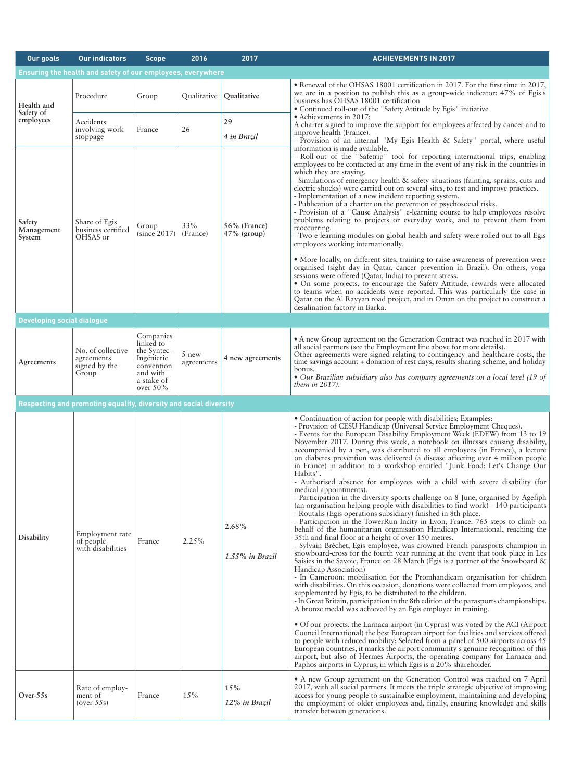| <b>Our goals</b>                  | <b>Our indicators</b>                                             | <b>Scope</b>                                                                                               | 2016                | 2017                           | <b>ACHIEVEMENTS IN 2017</b>                                                                                                                                                                                                                                                                                                                                                                                                                                                                                                                                                                                                                                                                                                                                                                                                                                                                                                                                                                                                                                                                                                                                                                                                                                                                                                                                                                                                                                                                                                                                                                                                                                                                                                                                                                                                                                                                                                                                                                                                                                                                                                                                                                                                                                                                                                   |  |  |  |  |
|-----------------------------------|-------------------------------------------------------------------|------------------------------------------------------------------------------------------------------------|---------------------|--------------------------------|-------------------------------------------------------------------------------------------------------------------------------------------------------------------------------------------------------------------------------------------------------------------------------------------------------------------------------------------------------------------------------------------------------------------------------------------------------------------------------------------------------------------------------------------------------------------------------------------------------------------------------------------------------------------------------------------------------------------------------------------------------------------------------------------------------------------------------------------------------------------------------------------------------------------------------------------------------------------------------------------------------------------------------------------------------------------------------------------------------------------------------------------------------------------------------------------------------------------------------------------------------------------------------------------------------------------------------------------------------------------------------------------------------------------------------------------------------------------------------------------------------------------------------------------------------------------------------------------------------------------------------------------------------------------------------------------------------------------------------------------------------------------------------------------------------------------------------------------------------------------------------------------------------------------------------------------------------------------------------------------------------------------------------------------------------------------------------------------------------------------------------------------------------------------------------------------------------------------------------------------------------------------------------------------------------------------------------|--|--|--|--|
|                                   | Ensuring the health and safety of our employees, everywhere       |                                                                                                            |                     |                                |                                                                                                                                                                                                                                                                                                                                                                                                                                                                                                                                                                                                                                                                                                                                                                                                                                                                                                                                                                                                                                                                                                                                                                                                                                                                                                                                                                                                                                                                                                                                                                                                                                                                                                                                                                                                                                                                                                                                                                                                                                                                                                                                                                                                                                                                                                                               |  |  |  |  |
| Health and<br>Safety of           | Procedure                                                         | Group                                                                                                      |                     | Qualitative   Qualitative      | • Renewal of the OHSAS 18001 certification in 2017. For the first time in 2017,<br>we are in a position to publish this as a group-wide indicator: 47% of Egis's<br>business has OHSAS 18001 certification<br>• Continued roll-out of the "Safety Attitude by Egis" initiative                                                                                                                                                                                                                                                                                                                                                                                                                                                                                                                                                                                                                                                                                                                                                                                                                                                                                                                                                                                                                                                                                                                                                                                                                                                                                                                                                                                                                                                                                                                                                                                                                                                                                                                                                                                                                                                                                                                                                                                                                                                |  |  |  |  |
| employees                         | Accidents<br>involving work<br>stoppage                           | France                                                                                                     | 26                  | 29<br>4 in Brazil              | • Achievements in 2017:<br>A charter signed to improve the support for employees affected by cancer and to<br>improve health (France).<br>- Provision of an internal "My Egis Health & Safety" portal, where useful                                                                                                                                                                                                                                                                                                                                                                                                                                                                                                                                                                                                                                                                                                                                                                                                                                                                                                                                                                                                                                                                                                                                                                                                                                                                                                                                                                                                                                                                                                                                                                                                                                                                                                                                                                                                                                                                                                                                                                                                                                                                                                           |  |  |  |  |
| Safety<br>Management<br>System    | Share of Egis<br>business certified<br>OHSAS or                   | Group<br>(since 2017)                                                                                      | 33%<br>(France)     | 56% (France)<br>$47\%$ (group) | information is made available.<br>- Roll-out of the "Safetrip" tool for reporting international trips, enabling<br>employees to be contacted at any time in the event of any risk in the countries in<br>which they are staying.<br>- Simulations of emergency health & safety situations (fainting, sprains, cuts and<br>electric shocks) were carried out on several sites, to test and improve practices.<br>- Implementation of a new incident reporting system.<br>- Publication of a charter on the prevention of psychosocial risks.<br>- Provision of a "Cause Analysis" e-learning course to help employees resolve<br>problems relating to projects or everyday work, and to prevent them from<br>reoccurring.<br>- Two e-learning modules on global health and safety were rolled out to all Egis<br>employees working internationally.<br>• More locally, on different sites, training to raise awareness of prevention were<br>organised (sight day in Qatar, cancer prevention in Brazil). On others, yoga<br>sessions were offered (Qatar, India) to prevent stress.<br>• On some projects, to encourage the Safety Attitude, rewards were allocated<br>to teams when no accidents were reported. This was particularly the case in<br>Qatar on the Al Rayyan road project, and in Oman on the project to construct a<br>desalination factory in Barka.                                                                                                                                                                                                                                                                                                                                                                                                                                                                                                                                                                                                                                                                                                                                                                                                                                                                                                                                                        |  |  |  |  |
| <b>Developing social dialogue</b> |                                                                   |                                                                                                            |                     |                                |                                                                                                                                                                                                                                                                                                                                                                                                                                                                                                                                                                                                                                                                                                                                                                                                                                                                                                                                                                                                                                                                                                                                                                                                                                                                                                                                                                                                                                                                                                                                                                                                                                                                                                                                                                                                                                                                                                                                                                                                                                                                                                                                                                                                                                                                                                                               |  |  |  |  |
| Agreements                        | No. of collective<br>agreements<br>signed by the<br>Group         | Companies<br>linked to<br>the Syntec-<br>Ingénierie<br>convention<br>and with<br>a stake of<br>over $50\%$ | 5 new<br>agreements | 4 new agreements               | • A new Group agreement on the Generation Contract was reached in 2017 with<br>all social partners (see the Employment line above for more details).<br>Other agreements were signed relating to contingency and healthcare costs, the<br>time savings account + donation of rest days, results-sharing scheme, and holiday<br>bonus.<br>• Our Brazilian subsidiary also has company agreements on a local level (19 of<br>them in $2017$ ).                                                                                                                                                                                                                                                                                                                                                                                                                                                                                                                                                                                                                                                                                                                                                                                                                                                                                                                                                                                                                                                                                                                                                                                                                                                                                                                                                                                                                                                                                                                                                                                                                                                                                                                                                                                                                                                                                  |  |  |  |  |
|                                   | Respecting and promoting equality, diversity and social diversity |                                                                                                            |                     |                                |                                                                                                                                                                                                                                                                                                                                                                                                                                                                                                                                                                                                                                                                                                                                                                                                                                                                                                                                                                                                                                                                                                                                                                                                                                                                                                                                                                                                                                                                                                                                                                                                                                                                                                                                                                                                                                                                                                                                                                                                                                                                                                                                                                                                                                                                                                                               |  |  |  |  |
| Disability                        | Employment rate<br>of people<br>with disabilities                 | France                                                                                                     | 2.25%               | 2.68%<br>$1.55\%$ in Brazil    | • Continuation of action for people with disabilities; Examples:<br>- Provision of CESU Handicap (Universal Service Employment Cheques).<br>- Events for the European Disability Employment Week (EDEW) from 13 to 19<br>November 2017. During this week, a notebook on illnesses causing disability,<br>accompanied by a pen, was distributed to all employees (in France), a lecture<br>on diabetes prevention was delivered (a disease affecting over 4 million people<br>in France) in addition to a workshop entitled "Junk Food: Let's Change Our<br>Habits".<br>- Authorised absence for employees with a child with severe disability (for<br>medical appointments).<br>- Participation in the diversity sports challenge on 8 June, organised by Agefiph<br>(an organisation helping people with disabilities to find work) - 140 participants<br>- Routalis (Egis operations subsidiary) finished in 8th place.<br>- Participation in the TowerRun Incity in Lyon, France. 765 steps to climb on<br>behalf of the humanitarian organisation Handicap International, reaching the<br>35th and final floor at a height of over 150 metres.<br>- Sylvain Brèchet, Egis employee, was crowned French parasports champion in<br>snowboard-cross for the fourth year running at the event that took place in Les<br>Saisies in the Savoie, France on 28 March (Egis is a partner of the Snowboard &<br>Handicap Association)<br>- In Cameroon: mobilisation for the Promhandicam organisation for children<br>with disabilities. On this occasion, donations were collected from employees, and<br>supplemented by Egis, to be distributed to the children.<br>- In Great Britain, participation in the 8th edition of the parasports championships.<br>A bronze medal was achieved by an Egis employee in training.<br>• Of our projects, the Larnaca airport (in Cyprus) was voted by the ACI (Airport<br>Council International) the best European airport for facilities and services offered<br>to people with reduced mobility; Selected from a panel of 500 airports across 45<br>European countries, it marks the airport community's genuine recognition of this<br>airport, but also of Hermes Airports, the operating company for Larnaca and<br>Paphos airports in Cyprus, in which Egis is a 20% shareholder. |  |  |  |  |
| Over- $55s$                       | Rate of employ-<br>ment of<br>$(over-55s)$                        | France                                                                                                     | 15%                 | 15%<br>12% in Brazil           | • A new Group agreement on the Generation Control was reached on 7 April<br>2017, with all social partners. It meets the triple strategic objective of improving<br>access for young people to sustainable employment, maintaining and developing<br>the employment of older employees and, finally, ensuring knowledge and skills<br>transfer between generations.                                                                                                                                                                                                                                                                                                                                                                                                                                                                                                                                                                                                                                                                                                                                                                                                                                                                                                                                                                                                                                                                                                                                                                                                                                                                                                                                                                                                                                                                                                                                                                                                                                                                                                                                                                                                                                                                                                                                                           |  |  |  |  |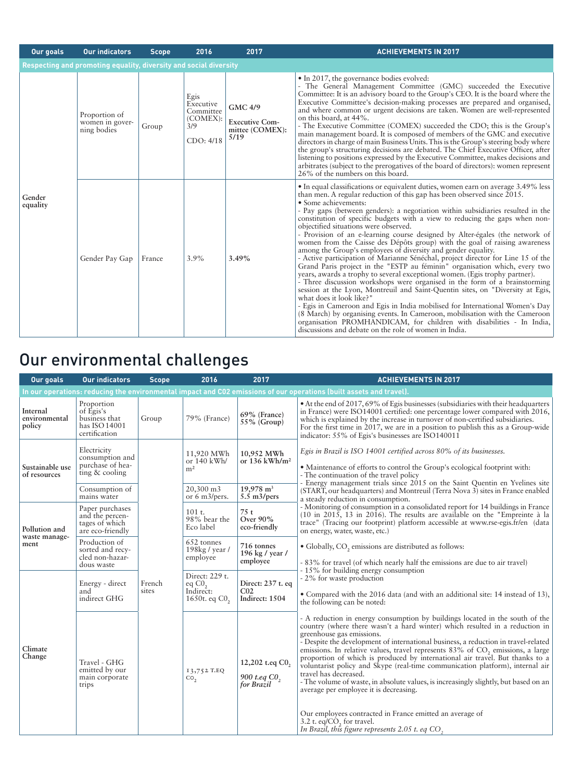| Our goals          | <b>Our indicators</b>                                             | <b>Scope</b> | 2016                                                           | 2017                                                        | <b>ACHIEVEMENTS IN 2017</b>                                                                                                                                                                                                                                                                                                                                                                                                                                                                                                                                                                                                                                                                                                                                                                                                                                                                                                                                                                                                                                                                                                                                                                                                                                                                                                                                                  |
|--------------------|-------------------------------------------------------------------|--------------|----------------------------------------------------------------|-------------------------------------------------------------|------------------------------------------------------------------------------------------------------------------------------------------------------------------------------------------------------------------------------------------------------------------------------------------------------------------------------------------------------------------------------------------------------------------------------------------------------------------------------------------------------------------------------------------------------------------------------------------------------------------------------------------------------------------------------------------------------------------------------------------------------------------------------------------------------------------------------------------------------------------------------------------------------------------------------------------------------------------------------------------------------------------------------------------------------------------------------------------------------------------------------------------------------------------------------------------------------------------------------------------------------------------------------------------------------------------------------------------------------------------------------|
|                    | Respecting and promoting equality, diversity and social diversity |              |                                                                |                                                             |                                                                                                                                                                                                                                                                                                                                                                                                                                                                                                                                                                                                                                                                                                                                                                                                                                                                                                                                                                                                                                                                                                                                                                                                                                                                                                                                                                              |
|                    | Proportion of<br>women in gover-<br>ning bodies                   | Group        | Egis<br>Executive<br>Committee<br>(COMEX):<br>3/9<br>CDO: 4/18 | GMC 4/9<br><b>Executive Com-</b><br>mittee (COMEX):<br>5/19 | • In 2017, the governance bodies evolved:<br>- The General Management Committee (GMC) succeeded the Executive<br>Committee: It is an advisory board to the Group's CEO. It is the board where the<br>Executive Committee's decision-making processes are prepared and organised,<br>and where common or urgent decisions are taken. Women are well-represented<br>on this board, at 44%.<br>- The Executive Committee (COMEX) succeeded the CDO; this is the Group's<br>main management board. It is composed of members of the GMC and executive<br>directors in charge of main Business Units. This is the Group's steering body where<br>the group's structuring decisions are debated. The Chief Executive Officer, after<br>listening to positions expressed by the Executive Committee, makes decisions and<br>arbitrates (subject to the prerogatives of the board of directors): women represent<br>26% of the numbers on this board.                                                                                                                                                                                                                                                                                                                                                                                                                                |
| Gender<br>equality | Gender Pay Gap                                                    | France       | 3.9%                                                           | 3.49%                                                       | • In equal classifications or equivalent duties, women earn on average 3.49% less<br>than men. A regular reduction of this gap has been observed since 2015.<br>• Some achievements:<br>- Pay gaps (between genders): a negotiation within subsidiaries resulted in the<br>constitution of specific budgets with a view to reducing the gaps when non-<br>objectified situations were observed.<br>- Provision of an e-learning course designed by Alter-égales (the network of<br>women from the Caisse des Dépôts group) with the goal of raising awareness<br>among the Group's employees of diversity and gender equality.<br>- Active participation of Marianne Sénéchal, project director for Line 15 of the<br>Grand Paris project in the "ESTP au féminin" organisation which, every two<br>years, awards a trophy to several exceptional women. (Egis trophy partner).<br>- Three discussion workshops were organised in the form of a brainstorming<br>session at the Lyon, Montreuil and Saint-Quentin sites, on "Diversity at Egis,<br>what does it look like?"<br>- Egis in Cameroon and Egis in India mobilised for International Women's Day<br>(8 March) by organising events. In Cameroon, mobilisation with the Cameroon<br>organisation PROMHANDICAM, for children with disabilities - In India,<br>discussions and debate on the role of women in India. |

# Our environmental challenges

| Our goals                           | <b>Our indicators</b>                                                                                               | <b>Scope</b>    | 2016                                                               | 2017                                                   | <b>ACHIEVEMENTS IN 2017</b>                                                                                                                                                                                                                                                                                                                                                                                                                                                                                                                                                                                                                                                                                                                                                                                                                           |  |  |  |  |
|-------------------------------------|---------------------------------------------------------------------------------------------------------------------|-----------------|--------------------------------------------------------------------|--------------------------------------------------------|-------------------------------------------------------------------------------------------------------------------------------------------------------------------------------------------------------------------------------------------------------------------------------------------------------------------------------------------------------------------------------------------------------------------------------------------------------------------------------------------------------------------------------------------------------------------------------------------------------------------------------------------------------------------------------------------------------------------------------------------------------------------------------------------------------------------------------------------------------|--|--|--|--|
|                                     | In our operations: reducing the environmental impact and CO2 emissions of our operations (built assets and travel). |                 |                                                                    |                                                        |                                                                                                                                                                                                                                                                                                                                                                                                                                                                                                                                                                                                                                                                                                                                                                                                                                                       |  |  |  |  |
| Internal<br>environmental<br>policy | Proportion<br>of Egis's<br>business that<br>has ISO 14001<br>certification                                          | Group           | 79% (France)                                                       | 69% (France)<br>$55\%$ (Group)                         | • At the end of 2017, 69% of Egis businesses (subsidiaries with their headquarters<br>in France) were ISO14001 certified: one percentage lower compared with 2016,<br>which is explained by the increase in turnover of non-certified subsidiaries.<br>For the first time in 2017, we are in a position to publish this as a Group-wide<br>indicator: 55% of Egis's businesses are ISO140011                                                                                                                                                                                                                                                                                                                                                                                                                                                          |  |  |  |  |
| Sustainable use<br>of resources     | Electricity<br>consumption and<br>purchase of hea-<br>ting $&$ cooling                                              |                 | 11,920 MWh<br>or 140 kWh/<br>m <sup>2</sup>                        | 10,952 MWh<br>or 136 kWh/m <sup>2</sup>                | Egis in Brazil is ISO 14001 certified across 80% of its businesses.<br>• Maintenance of efforts to control the Group's ecological footprint with:<br>- The continuation of the travel policy<br>- Energy management trials since 2015 on the Saint Quentin en Yvelines site                                                                                                                                                                                                                                                                                                                                                                                                                                                                                                                                                                           |  |  |  |  |
|                                     | Consumption of<br>mains water                                                                                       |                 | 20,300 m3<br>or 6 m3/pers.                                         | $19,978$ m <sup>3</sup><br>$5.5 \text{ m3/pers}$       | (START, our headquarters) and Montreuil (Terra Nova 3) sites in France enabled<br>a steady reduction in consumption.                                                                                                                                                                                                                                                                                                                                                                                                                                                                                                                                                                                                                                                                                                                                  |  |  |  |  |
| Pollution and                       | Paper purchases<br>and the percen-<br>tages of which<br>are eco-friendly                                            | French<br>sites | $101$ t.<br>98% bear the<br>Eco label                              | 75t<br>Over 90%<br>eco-friendly                        | - Monitoring of consumption in a consolidated report for 14 buildings in France<br>$(10 \text{ in } 2015, 13 \text{ in } 2016)$ . The results are available on the "Empreinte à la<br>trace" (Tracing our footprint) platform accessible at www.rse-egis.fr/en (data<br>on energy, water, waste, etc.)                                                                                                                                                                                                                                                                                                                                                                                                                                                                                                                                                |  |  |  |  |
| waste manage-<br>ment               | Production of<br>sorted and recy-<br>cled non-hazar-<br>dous waste                                                  |                 | 652 tonnes<br>198kg / year /<br>employee                           | 716 tonnes<br>196 kg / year /<br>employee              | • Globally, CO <sub>2</sub> emissions are distributed as follows:<br>- 83% for travel (of which nearly half the emissions are due to air travel)                                                                                                                                                                                                                                                                                                                                                                                                                                                                                                                                                                                                                                                                                                      |  |  |  |  |
|                                     | Energy - direct<br>and<br>indirect GHG                                                                              |                 | Direct: 229 t.<br>eq C0 <sub>2</sub><br>Indirect:<br>1650t. eq C0, | Direct: 237 t. eq<br>CO <sub>2</sub><br>Indirect: 1504 | - 15% for building energy consumption<br>- 2% for waste production<br>• Compared with the 2016 data (and with an additional site: 14 instead of 13),<br>the following can be noted:                                                                                                                                                                                                                                                                                                                                                                                                                                                                                                                                                                                                                                                                   |  |  |  |  |
| Climate<br>Change                   | Travel - GHG<br>emitted by our<br>main corporate<br>trips                                                           |                 | 13,752 T.EQ<br>Co <sub>2</sub>                                     | 12,202 t.eq C0,<br>900 t.eq $CO2$ for Brazil           | - A reduction in energy consumption by buildings located in the south of the<br>country (where there wasn't a hard winter) which resulted in a reduction in<br>greenhouse gas emissions.<br>- Despite the development of international business, a reduction in travel-related<br>emissions. In relative values, travel represents 83% of CO <sub>2</sub> emissions, a large<br>proportion of which is produced by international air travel. But thanks to a<br>voluntarist policy and Skype (real-time communication platform), internal air<br>travel has decreased.<br>- The volume of waste, in absolute values, is increasingly slightly, but based on an<br>average per employee it is decreasing.<br>Our employees contracted in France emitted an average of<br>3.2 t. eq/CO, for travel.<br>In Brazil, this figure represents 2.05 t. eq CO, |  |  |  |  |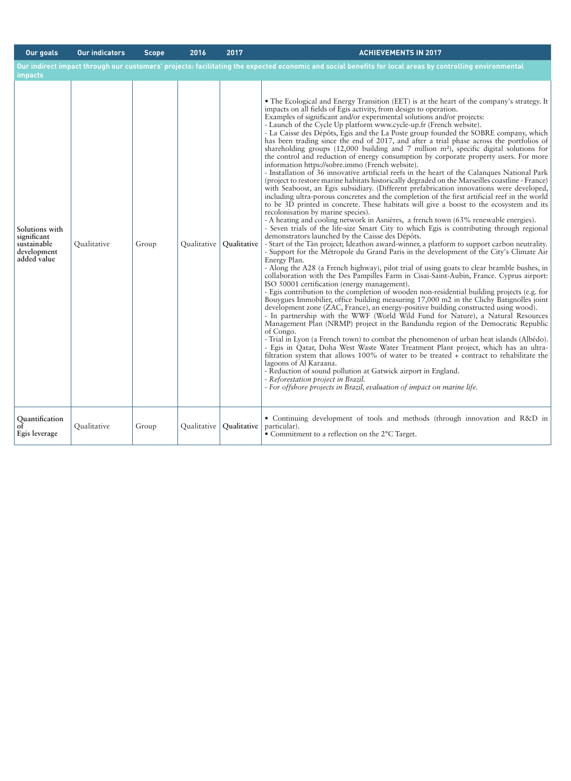| <b>Our goals</b>                                                           | <b>Our indicators</b> | <b>Scope</b> | 2016        | 2017               | <b>ACHIEVEMENTS IN 2017</b>                                                                                                                                                                                                                                                                                                                                                                                                                                                                                                                                                                                                                                                                                                                                                                                                                                                                                                                                                                                                                                                                                                                                                                                                                                                                                                                                                                                                                                                                                                                                                                                                                                                                                                                                                                                                                                                                                                                                                                                                                                                                                                                                                                                                                                                                                                                                                                                                                                                                                                                                                                                                                                                                                                                                                                                                                                                                                                                                |
|----------------------------------------------------------------------------|-----------------------|--------------|-------------|--------------------|------------------------------------------------------------------------------------------------------------------------------------------------------------------------------------------------------------------------------------------------------------------------------------------------------------------------------------------------------------------------------------------------------------------------------------------------------------------------------------------------------------------------------------------------------------------------------------------------------------------------------------------------------------------------------------------------------------------------------------------------------------------------------------------------------------------------------------------------------------------------------------------------------------------------------------------------------------------------------------------------------------------------------------------------------------------------------------------------------------------------------------------------------------------------------------------------------------------------------------------------------------------------------------------------------------------------------------------------------------------------------------------------------------------------------------------------------------------------------------------------------------------------------------------------------------------------------------------------------------------------------------------------------------------------------------------------------------------------------------------------------------------------------------------------------------------------------------------------------------------------------------------------------------------------------------------------------------------------------------------------------------------------------------------------------------------------------------------------------------------------------------------------------------------------------------------------------------------------------------------------------------------------------------------------------------------------------------------------------------------------------------------------------------------------------------------------------------------------------------------------------------------------------------------------------------------------------------------------------------------------------------------------------------------------------------------------------------------------------------------------------------------------------------------------------------------------------------------------------------------------------------------------------------------------------------------------------------|
| impacts                                                                    |                       |              |             |                    | Our indirect impact through our customers' projects: facilitating the expected economic and social benefits for local areas by controlling environmental                                                                                                                                                                                                                                                                                                                                                                                                                                                                                                                                                                                                                                                                                                                                                                                                                                                                                                                                                                                                                                                                                                                                                                                                                                                                                                                                                                                                                                                                                                                                                                                                                                                                                                                                                                                                                                                                                                                                                                                                                                                                                                                                                                                                                                                                                                                                                                                                                                                                                                                                                                                                                                                                                                                                                                                                   |
| Solutions with<br>significant<br>sustainable<br>development<br>added value | Qualitative           | Group        | Qualitative | <b>Qualitative</b> | • The Ecological and Energy Transition (EET) is at the heart of the company's strategy. It<br>impacts on all fields of Egis activity, from design to operation.<br>Examples of significant and/or experimental solutions and/or projects:<br>- Launch of the Cycle Up platform www.cycle-up.fr (French website).<br>- La Caisse des Dépôts, Egis and the La Poste group founded the SOBRE company, which<br>has been trading since the end of 2017, and after a trial phase across the portfolios of<br>shareholding groups $(12,000)$ building and 7 million m <sup>2</sup> ), specific digital solutions for<br>the control and reduction of energy consumption by corporate property users. For more<br>information https://sobre.immo (French website).<br>- Installation of 36 innovative artificial reefs in the heart of the Calangues National Park<br>(project to restore marine habitats historically degraded on the Marseilles coastline - France)<br>with Seaboost, an Egis subsidiary. (Different prefabrication innovations were developed,<br>including ultra-porous concretes and the completion of the first artificial reef in the world<br>to be 3D printed in concrete. These habitats will give a boost to the ecosystem and its<br>recolonisation by marine species).<br>- A heating and cooling network in Asnières, a french town (63% renewable energies).<br>- Seven trials of the life-size Smart City to which Egis is contributing through regional<br>demonstrators launched by the Caisse des Dépôts.<br>- Start of the Tàn project; Ideathon award-winner, a platform to support carbon neutrality.<br>- Support for the Métropole du Grand Paris in the development of the City's Climate Air<br>Energy Plan.<br>- Along the A28 (a French highway), pilot trial of using goats to clear bramble bushes, in<br>collaboration with the Des Pampilles Farm in Cisai-Saint-Aubin, France. Cyprus airport:<br>ISO 50001 certification (energy management).<br>- Egis contribution to the completion of wooden non-residential building projects (e.g. for<br>Bouygues Immobilier, office building measuring 17,000 m2 in the Clichy Batignolles joint<br>development zone (ZAC, France), an energy-positive building constructed using wood).<br>- In partnership with the WWF (World Wild Fund for Nature), a Natural Resources<br>Management Plan (NRMP) project in the Bandundu region of the Democratic Republic<br>of Congo.<br>- Trial in Lyon (a French town) to combat the phenomenon of urban heat islands (Albédo).<br>- Egis in Qatar, Doha West Waste Water Treatment Plant project, which has an ultra-<br>filtration system that allows 100% of water to be treated + contract to rehabilitate the<br>lagoons of Al Karaana.<br>- Reduction of sound pollution at Gatwick airport in England.<br>- Reforestation project in Brazil.<br>- For offshore projects in Brazil, evaluation of impact on marine life. |
| Quantification<br>of<br>Egis leverage                                      | Qualitative           | Group        | Qualitative | Oualitative        | • Continuing development of tools and methods (through innovation and R&D in<br>particular).<br>• Commitment to a reflection on the 2°C Target.                                                                                                                                                                                                                                                                                                                                                                                                                                                                                                                                                                                                                                                                                                                                                                                                                                                                                                                                                                                                                                                                                                                                                                                                                                                                                                                                                                                                                                                                                                                                                                                                                                                                                                                                                                                                                                                                                                                                                                                                                                                                                                                                                                                                                                                                                                                                                                                                                                                                                                                                                                                                                                                                                                                                                                                                            |